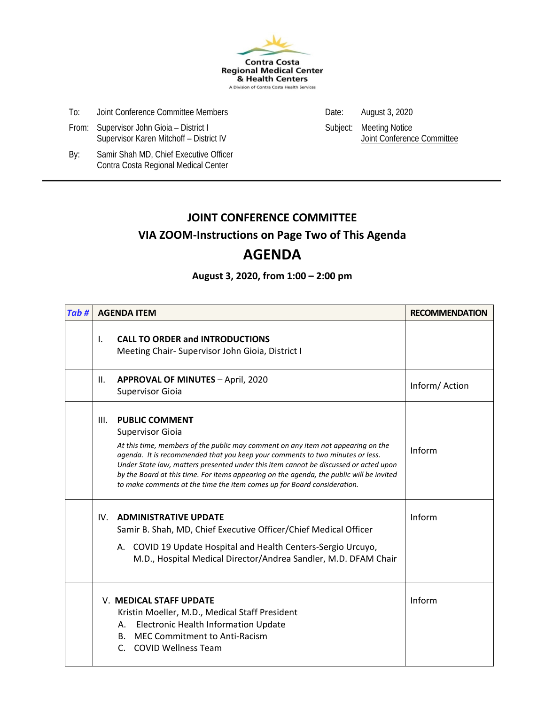

- To: Joint Conference Committee Members Date: August 3, 2020
- From: Supervisor John Gioia District I Subject: Meeting Notice<br>Supervisor Karen Mitchoff District IV Supervisor Karen Mitchoff District IV Supervisor Karen Mitchoff District IV Supervisor Karen Mitchoff - District IV
	-

By: Samir Shah MD, Chief Executive Officer Contra Costa Regional Medical Center

# **JOINT CONFERENCE COMMITTEE**

### **VIA ZOOM-Instructions on Page Two of This Agenda**

## **AGENDA**

### **August 3, 2020, from 1:00 – 2:00 pm**

| Tab# | <b>AGENDA ITEM</b>                                                                                                                                                                                                                                                                                                                                                                                                                                                                           | <b>RECOMMENDATION</b> |
|------|----------------------------------------------------------------------------------------------------------------------------------------------------------------------------------------------------------------------------------------------------------------------------------------------------------------------------------------------------------------------------------------------------------------------------------------------------------------------------------------------|-----------------------|
|      | <b>CALL TO ORDER and INTRODUCTIONS</b><br>Τ.<br>Meeting Chair-Supervisor John Gioia, District I                                                                                                                                                                                                                                                                                                                                                                                              |                       |
|      | <b>APPROVAL OF MINUTES - April, 2020</b><br>II.<br><b>Supervisor Gioia</b>                                                                                                                                                                                                                                                                                                                                                                                                                   | Inform/Action         |
|      | <b>PUBLIC COMMENT</b><br>III.<br><b>Supervisor Gioia</b><br>At this time, members of the public may comment on any item not appearing on the<br>agenda. It is recommended that you keep your comments to two minutes or less.<br>Under State law, matters presented under this item cannot be discussed or acted upon<br>by the Board at this time. For items appearing on the agenda, the public will be invited<br>to make comments at the time the item comes up for Board consideration. | Inform                |
|      | <b>ADMINISTRATIVE UPDATE</b><br>IV.<br>Samir B. Shah, MD, Chief Executive Officer/Chief Medical Officer<br>A. COVID 19 Update Hospital and Health Centers-Sergio Urcuyo,<br>M.D., Hospital Medical Director/Andrea Sandler, M.D. DFAM Chair                                                                                                                                                                                                                                                  | Inform                |
|      | V. MEDICAL STAFF UPDATE<br>Kristin Moeller, M.D., Medical Staff President<br><b>Electronic Health Information Update</b><br>А.<br>MEC Commitment to Anti-Racism<br>B.<br><b>COVID Wellness Team</b><br>$\mathsf{C}$ .                                                                                                                                                                                                                                                                        | Inform                |